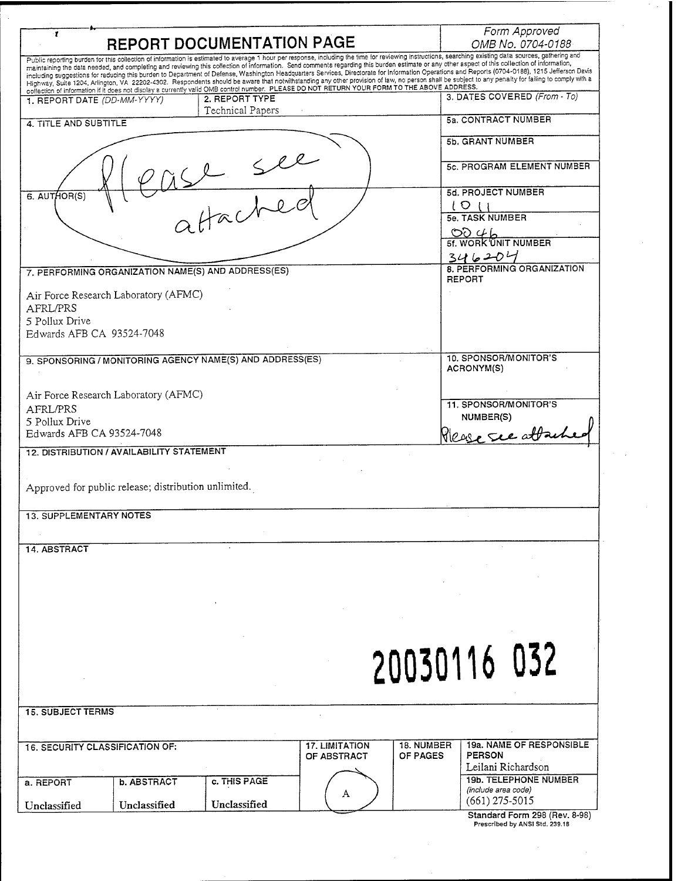| 1                                      |                                                      | REPORT DOCUMENTATION PAGE                                 |                                                                                                                                                                                                                                                                                                                                                                                                                                                                                                                                                                                                           |                   | Form Approved<br>OMB No. 0704-0188      |  |
|----------------------------------------|------------------------------------------------------|-----------------------------------------------------------|-----------------------------------------------------------------------------------------------------------------------------------------------------------------------------------------------------------------------------------------------------------------------------------------------------------------------------------------------------------------------------------------------------------------------------------------------------------------------------------------------------------------------------------------------------------------------------------------------------------|-------------------|-----------------------------------------|--|
|                                        |                                                      |                                                           | Public reporting burden for this collection of information is estimated to average 1 hour per response, including the time for reviewing instructions, searching existing data sources, gathering and<br>maintaining the data needed, and completing and reviewing this collection of information. Send comments regarding this burden estimate or any other aspect of this collection of information,<br>including suggestions for reducing this burden to Department of Defense, Washington Headquarters Services, Directorate for Information Operations and Reports (0704-0188), 1215 Jefferson Davis |                   |                                         |  |
|                                        |                                                      |                                                           | Highway, Suite 1204, Arlington, VA 22202-4302. Respondents should be aware that notwithstanding any other provision of law, no person shall be subject to any penalty for failing to comply with a<br>collection of information if it does not display a currently valid OMB control number. PLEASE DO NOT RETURN YOUR FORM TO THE ABOVE ADDRESS.                                                                                                                                                                                                                                                         |                   |                                         |  |
| 1. REPORT DATE (DD-MM-YYYY)            |                                                      | 2. REPORT TYPE<br>Technical Papers                        |                                                                                                                                                                                                                                                                                                                                                                                                                                                                                                                                                                                                           |                   | 3. DATES COVERED (From - To)            |  |
| 4. TITLE AND SUBTITLE                  |                                                      |                                                           |                                                                                                                                                                                                                                                                                                                                                                                                                                                                                                                                                                                                           |                   | 5a. CONTRACT NUMBER                     |  |
|                                        |                                                      |                                                           |                                                                                                                                                                                                                                                                                                                                                                                                                                                                                                                                                                                                           |                   | 5b. GRANT NUMBER                        |  |
|                                        |                                                      |                                                           |                                                                                                                                                                                                                                                                                                                                                                                                                                                                                                                                                                                                           |                   | 5c. PROGRAM ELEMENT NUMBER              |  |
| 6. AUTHOR(S)                           |                                                      |                                                           |                                                                                                                                                                                                                                                                                                                                                                                                                                                                                                                                                                                                           |                   | 5d. PROJECT NUMBER                      |  |
|                                        |                                                      |                                                           |                                                                                                                                                                                                                                                                                                                                                                                                                                                                                                                                                                                                           |                   | ιο<br><b>5e. TASK NUMBER</b>            |  |
|                                        |                                                      |                                                           |                                                                                                                                                                                                                                                                                                                                                                                                                                                                                                                                                                                                           |                   | つり へん                                   |  |
|                                        |                                                      |                                                           |                                                                                                                                                                                                                                                                                                                                                                                                                                                                                                                                                                                                           |                   | 5f. WORK UNIT NUMBER                    |  |
|                                        |                                                      |                                                           |                                                                                                                                                                                                                                                                                                                                                                                                                                                                                                                                                                                                           |                   | 346204<br>8. PERFORMING ORGANIZATION    |  |
|                                        |                                                      | 7. PERFORMING ORGANIZATION NAME(S) AND ADDRESS(ES)        |                                                                                                                                                                                                                                                                                                                                                                                                                                                                                                                                                                                                           |                   | <b>REPORT</b>                           |  |
|                                        | Air Force Research Laboratory (AFMC)                 |                                                           |                                                                                                                                                                                                                                                                                                                                                                                                                                                                                                                                                                                                           |                   |                                         |  |
| AFRL/PRS<br>5 Pollux Drive             |                                                      |                                                           |                                                                                                                                                                                                                                                                                                                                                                                                                                                                                                                                                                                                           |                   |                                         |  |
| Edwards AFB CA 93524-7048              |                                                      |                                                           |                                                                                                                                                                                                                                                                                                                                                                                                                                                                                                                                                                                                           |                   |                                         |  |
|                                        |                                                      |                                                           |                                                                                                                                                                                                                                                                                                                                                                                                                                                                                                                                                                                                           |                   | 10. SPONSOR/MONITOR'S                   |  |
|                                        |                                                      | 9. SPONSORING / MONITORING AGENCY NAME(S) AND ADDRESS(ES) |                                                                                                                                                                                                                                                                                                                                                                                                                                                                                                                                                                                                           |                   | ACRONYM(S)                              |  |
|                                        |                                                      |                                                           |                                                                                                                                                                                                                                                                                                                                                                                                                                                                                                                                                                                                           |                   |                                         |  |
| AFRL/PRS                               | Air Force Research Laboratory (AFMC)                 |                                                           |                                                                                                                                                                                                                                                                                                                                                                                                                                                                                                                                                                                                           |                   | 11. SPONSOR/MONITOR'S                   |  |
| 5 Pollux Drive                         |                                                      |                                                           |                                                                                                                                                                                                                                                                                                                                                                                                                                                                                                                                                                                                           |                   | NUMBER(S)                               |  |
| Edwards AFB CA 93524-7048              |                                                      |                                                           |                                                                                                                                                                                                                                                                                                                                                                                                                                                                                                                                                                                                           |                   | Please see attac                        |  |
|                                        | 12. DISTRIBUTION / AVAILABILITY STATEMENT            |                                                           |                                                                                                                                                                                                                                                                                                                                                                                                                                                                                                                                                                                                           |                   |                                         |  |
|                                        |                                                      |                                                           |                                                                                                                                                                                                                                                                                                                                                                                                                                                                                                                                                                                                           |                   |                                         |  |
|                                        | Approved for public release; distribution unlimited. |                                                           |                                                                                                                                                                                                                                                                                                                                                                                                                                                                                                                                                                                                           |                   |                                         |  |
| <b>13. SUPPLEMENTARY NOTES</b>         |                                                      |                                                           |                                                                                                                                                                                                                                                                                                                                                                                                                                                                                                                                                                                                           |                   |                                         |  |
|                                        |                                                      |                                                           |                                                                                                                                                                                                                                                                                                                                                                                                                                                                                                                                                                                                           |                   |                                         |  |
| 14. ABSTRACT                           |                                                      |                                                           |                                                                                                                                                                                                                                                                                                                                                                                                                                                                                                                                                                                                           |                   |                                         |  |
|                                        |                                                      |                                                           |                                                                                                                                                                                                                                                                                                                                                                                                                                                                                                                                                                                                           |                   |                                         |  |
|                                        |                                                      |                                                           |                                                                                                                                                                                                                                                                                                                                                                                                                                                                                                                                                                                                           |                   |                                         |  |
|                                        |                                                      |                                                           |                                                                                                                                                                                                                                                                                                                                                                                                                                                                                                                                                                                                           |                   |                                         |  |
|                                        |                                                      |                                                           |                                                                                                                                                                                                                                                                                                                                                                                                                                                                                                                                                                                                           |                   |                                         |  |
|                                        |                                                      |                                                           |                                                                                                                                                                                                                                                                                                                                                                                                                                                                                                                                                                                                           |                   |                                         |  |
|                                        |                                                      |                                                           |                                                                                                                                                                                                                                                                                                                                                                                                                                                                                                                                                                                                           |                   | 20030116 032                            |  |
|                                        |                                                      |                                                           |                                                                                                                                                                                                                                                                                                                                                                                                                                                                                                                                                                                                           |                   |                                         |  |
|                                        |                                                      |                                                           |                                                                                                                                                                                                                                                                                                                                                                                                                                                                                                                                                                                                           |                   |                                         |  |
| <b>15. SUBJECT TERMS</b>               |                                                      |                                                           |                                                                                                                                                                                                                                                                                                                                                                                                                                                                                                                                                                                                           |                   |                                         |  |
|                                        |                                                      |                                                           |                                                                                                                                                                                                                                                                                                                                                                                                                                                                                                                                                                                                           |                   |                                         |  |
| <b>16. SECURITY CLASSIFICATION OF:</b> |                                                      |                                                           | <b>17. LIMITATION</b>                                                                                                                                                                                                                                                                                                                                                                                                                                                                                                                                                                                     | <b>18. NUMBER</b> | <b>19a. NAME OF RESPONSIBLE</b>         |  |
|                                        |                                                      |                                                           | OF ABSTRACT                                                                                                                                                                                                                                                                                                                                                                                                                                                                                                                                                                                               | OF PAGES          | <b>PERSON</b><br>Leilani Richardson     |  |
| a. REPORT                              | <b>b. ABSTRACT</b>                                   | c. THIS PAGE                                              |                                                                                                                                                                                                                                                                                                                                                                                                                                                                                                                                                                                                           |                   | <b>19b. TELEPHONE NUMBER</b>            |  |
|                                        |                                                      |                                                           | A                                                                                                                                                                                                                                                                                                                                                                                                                                                                                                                                                                                                         |                   | (include area code)<br>$(661)$ 275-5015 |  |
| Unclassified                           | Unclassified                                         | Unclassified                                              |                                                                                                                                                                                                                                                                                                                                                                                                                                                                                                                                                                                                           |                   | Standard Form 298 (Rev. 8-98)           |  |
|                                        |                                                      |                                                           |                                                                                                                                                                                                                                                                                                                                                                                                                                                                                                                                                                                                           |                   | Prescribed by ANSI Std. 239.18          |  |

 $\label{eq:2.1} \frac{1}{2}\int_{\mathbb{R}^{3}}\frac{1}{\sqrt{2\pi}}\left|\frac{d\mathbf{r}}{d\mathbf{r}}\right|^{2}d\mathbf{r}$ 

 $\gamma_{\rm{max}}$ 

 $\mathcal{A}^{\text{max}}_{\text{max}}$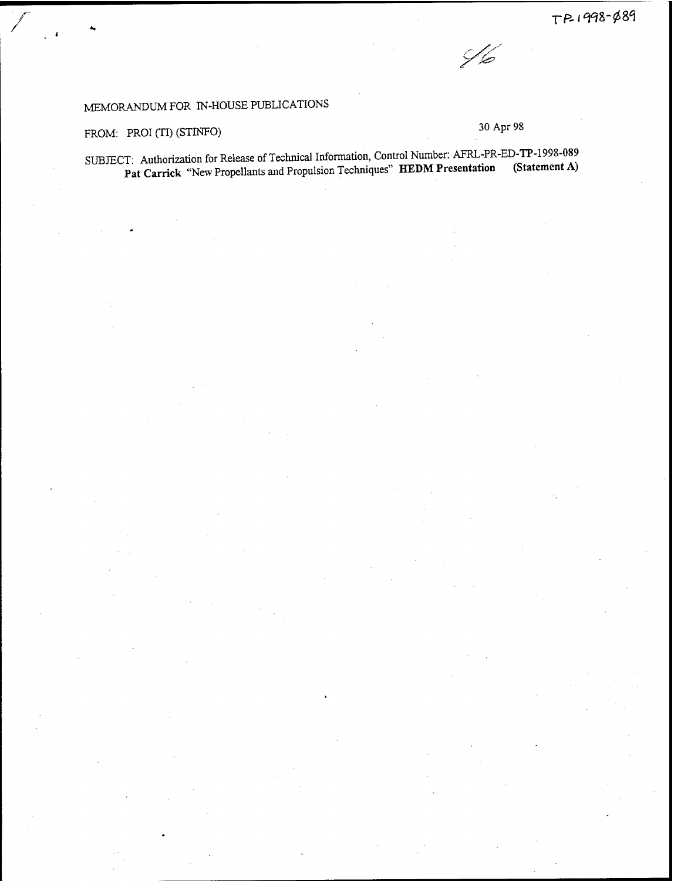

## MEMORANDUM FOR IN-HOUSE PUBLICATIONS

## FROM: PROI (TI) (STINFO) 30 Apr 98

SUBJECT: Authorization for Release of Technical Information, Control Number: AFRL-PR-ED-TP-1998-089 **Pat Carrick** "New Propellants and Propulsion Techniques" **HEDM** Presentation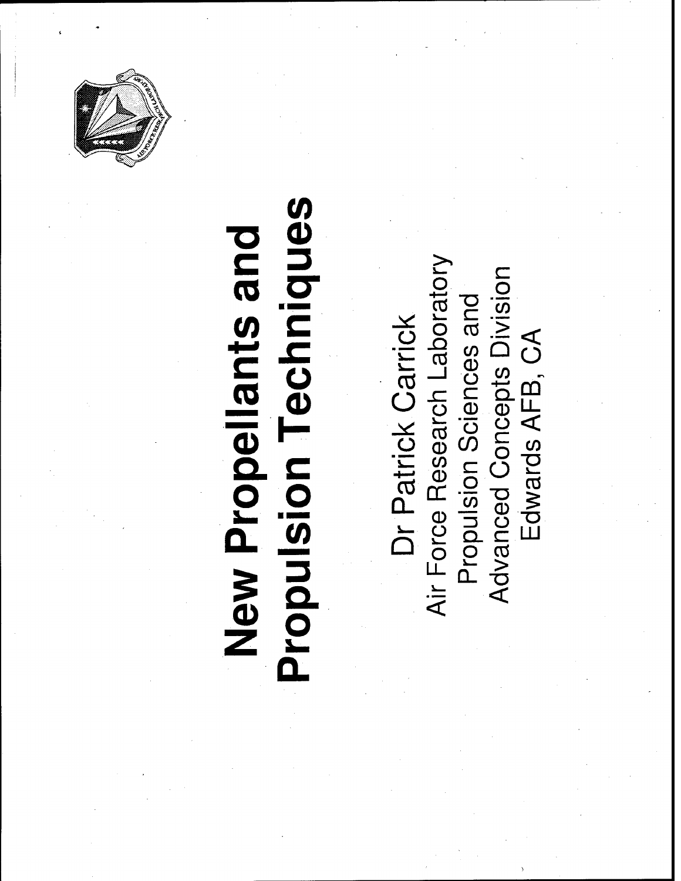

## **Propulsion Techniques** New Propellants and

Air Force Research Laboratory **Advanced Concepts Division** Propulsion Sciences and Dr Patrick Carrick Edwards AFB, CA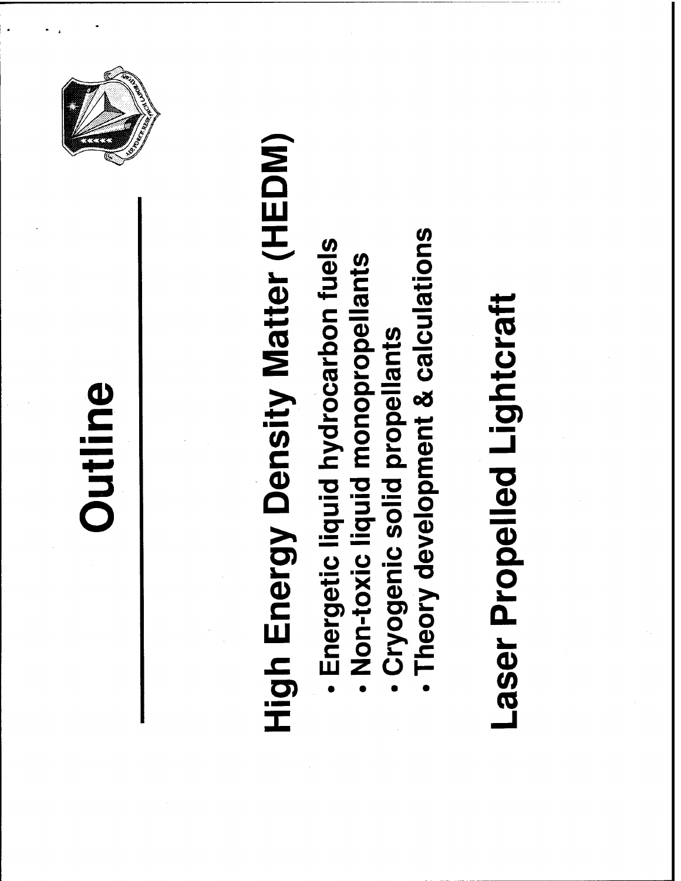



# **High Energy Density Matter (HEDM)**

- Energetic liquid hydrocarbon fuels
	- Non-toxic liquid monopropellants
		- Cryogenic solid propellants
- Theory development & calculations

## Laser Propelled Lightcraft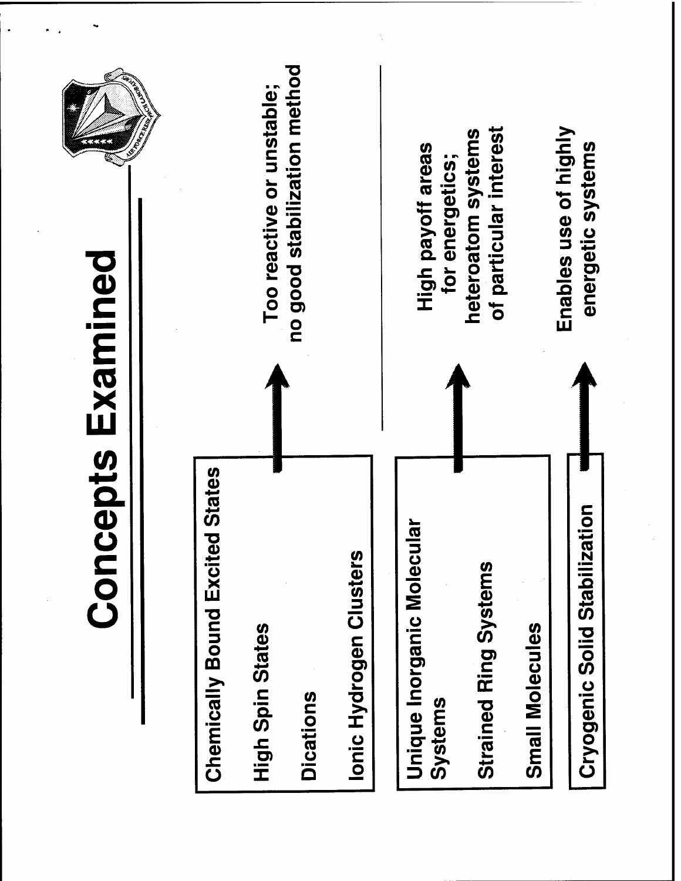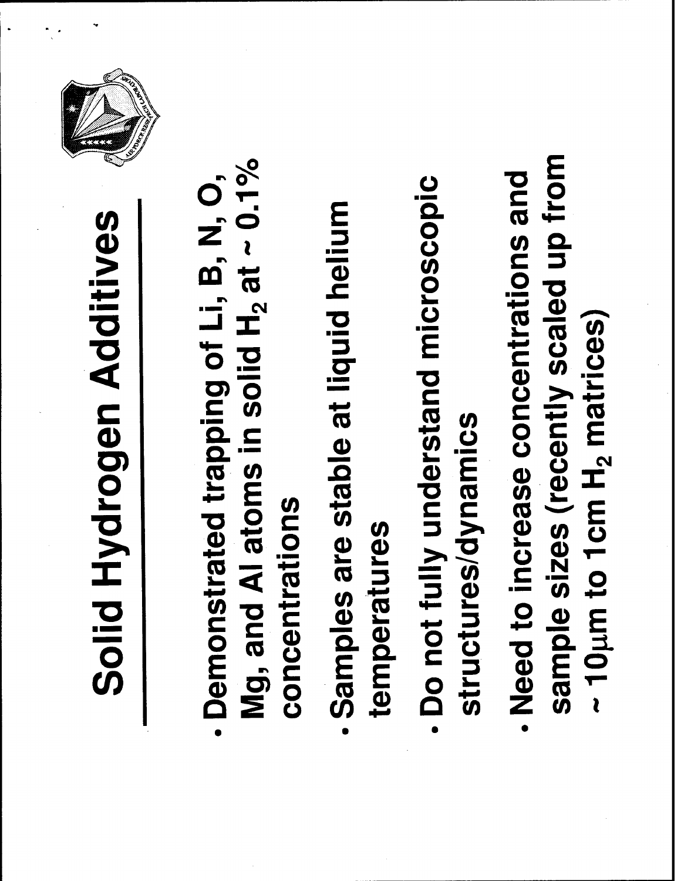## Solid Hydrogen Additives



- Mg, and Al atoms in solid  $H_2$  at  $\sim 0.1\%$ - Demonstrated trapping of Li, B, N, O, concentrations
- Samples are stable at liquid helium temperatures
- Do not fully understand microscopic structures/dynamics
- sample sizes (recently scaled up from - Need to increase concentrations and  $\sim$  10  $\mu$ m to 1 cm H<sub>2</sub> matrices)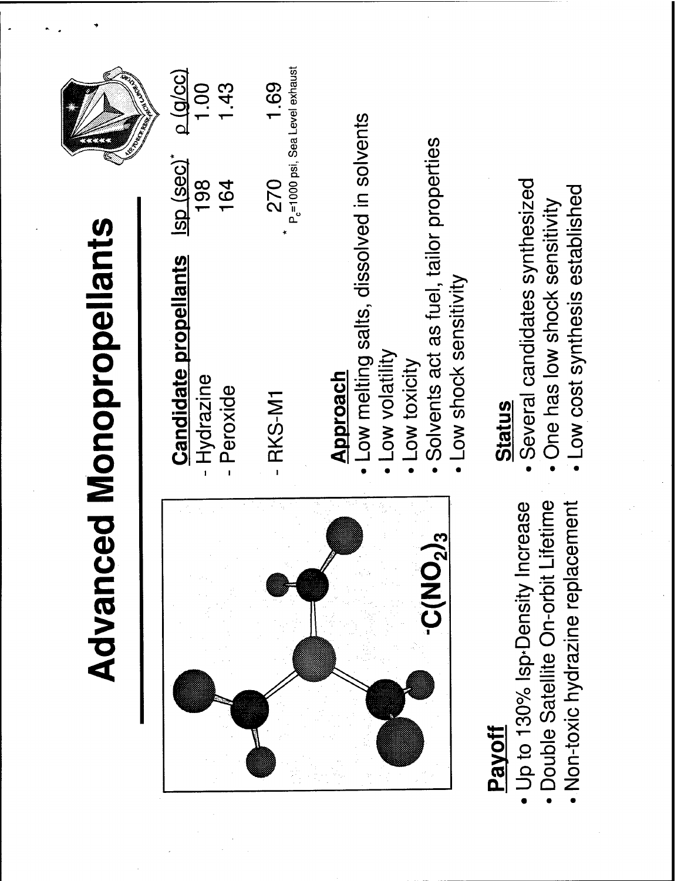|                                                                                                                              | <b>Advanced Monopropellants</b>                                                                                                                            |                                  |                                                     |
|------------------------------------------------------------------------------------------------------------------------------|------------------------------------------------------------------------------------------------------------------------------------------------------------|----------------------------------|-----------------------------------------------------|
|                                                                                                                              | <b>Candidate propellants</b><br>- Hydrazine<br>Peroxide                                                                                                    | <u>Isp (sec)</u> *<br>198<br>164 | $\Omega$ (a/cc)<br>1.00<br> <br>43                  |
|                                                                                                                              | RKS-M1                                                                                                                                                     | 270                              | P <sub>c</sub> =1000 psi, Sea Level exhaust<br>1.69 |
| 2/3<br><b>DNV</b>                                                                                                            | Low melting salts, dissolved in solvents<br>Solvents act as fuel, tailor properties<br>Low shock sensitivity<br>Low volatility<br>Low toxicity<br>Approach |                                  |                                                     |
| Non-toxic hydrazine replacement<br>Lifetime<br>Jp to 130% Isp-Density Increase<br>Double Satellite On-orbit<br><b>Payoff</b> | Several candidates synthesized<br>Low cost synthesis established<br>One has low shock sensitivity<br><b>Status</b>                                         |                                  |                                                     |

 $\overline{\mathcal{E}}$ 

 $\overline{\mathcal{E}}$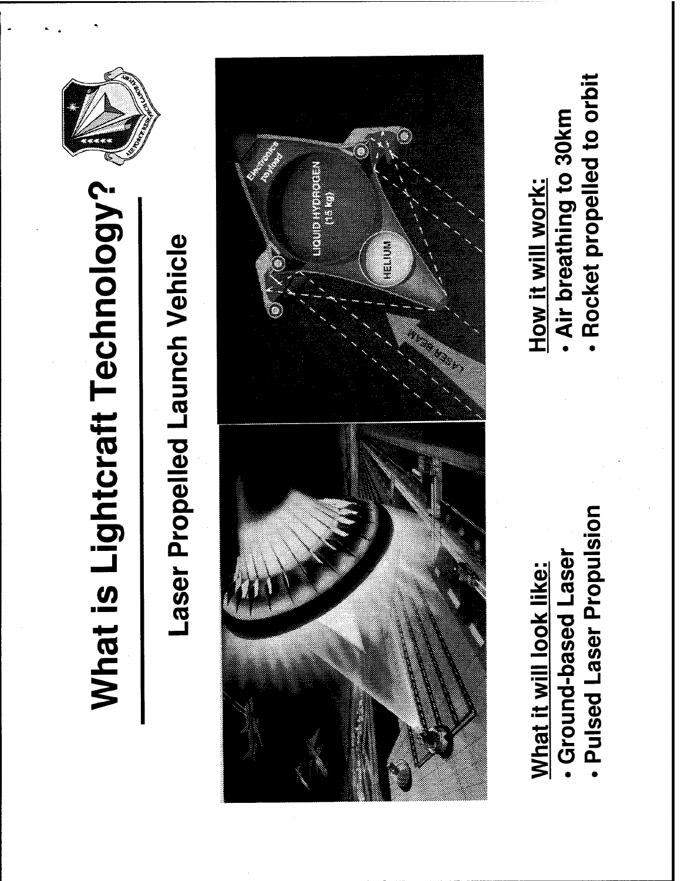

## Laser Propelled Launch Vehicle



Pulsed Laser Propulsion

. Ground-based Laser

What it will look like:

Air breathing to 30km How it will work:

Rocket propelled to orbit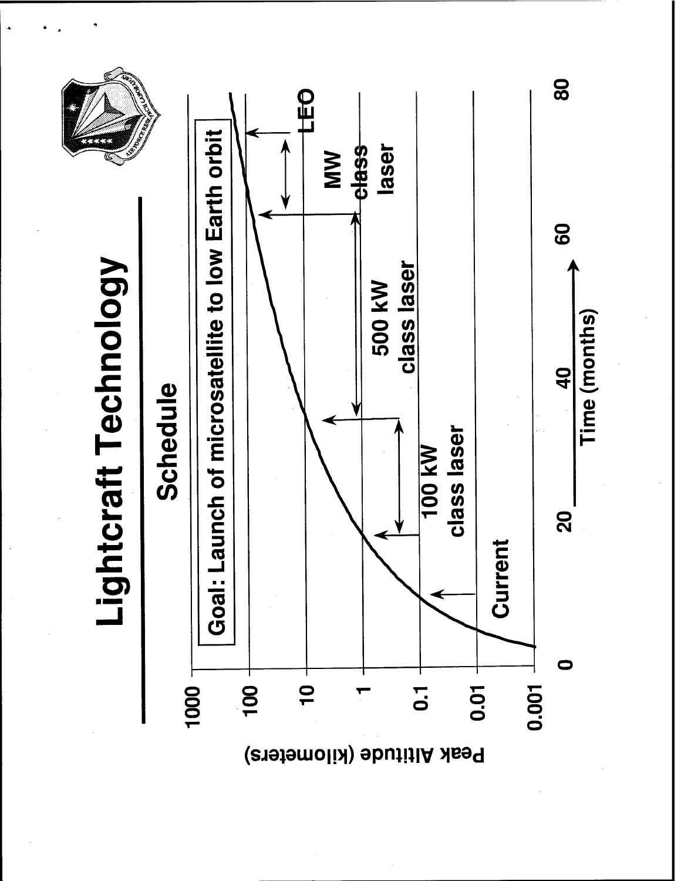

Peak Altitude (kilometers)